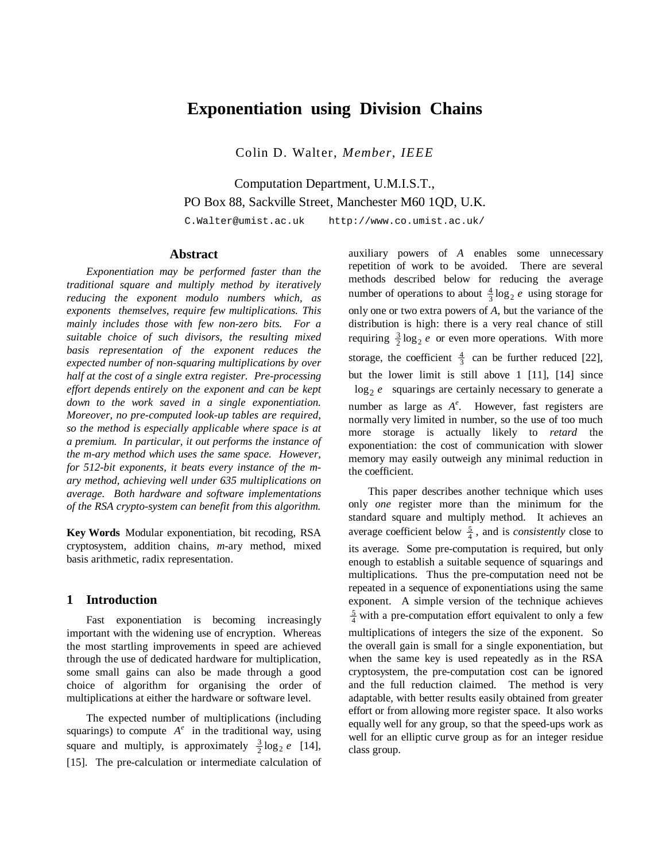# **Exponentiation using Division Chains**

Colin D. Walter, *Member*, *IEEE*

Computation Department, U.M.I.S.T., PO Box 88, Sackville Street, Manchester M60 1QD, U.K.

C.Walter@umist.ac.uk http://www.co.umist.ac.uk/

#### **Abstract**

*Exponentiation may be performed faster than the traditional square and multiply method by iteratively reducing the exponent modulo numbers which, as exponents themselves, require few multiplications. This mainly includes those with few non-zero bits. For a suitable choice of such divisors, the resulting mixed basis representation of the exponent reduces the expected number of non-squaring multiplications by over half at the cost of a single extra register. Pre-processing effort depends entirely on the exponent and can be kept down to the work saved in a single exponentiation. Moreover, no pre-computed look-up tables are required, so the method is especially applicable where space is at a premium. In particular, it out performs the instance of the m-ary method which uses the same space. However, for 512-bit exponents, it beats every instance of the mary method, achieving well under 635 multiplications on average. Both hardware and software implementations of the RSA crypto-system can benefit from this algorithm.*

**Key Words** Modular exponentiation, bit recoding, RSA cryptosystem, addition chains, *m*-ary method, mixed basis arithmetic, radix representation.

#### **1 Introduction**

Fast exponentiation is becoming increasingly important with the widening use of encryption. Whereas the most startling improvements in speed are achieved through the use of dedicated hardware for multiplication, some small gains can also be made through a good choice of algorithm for organising the order of multiplications at either the hardware or software level.

The expected number of multiplications (including squarings) to compute  $A^e$  in the traditional way, using square and multiply, is approximately  $\frac{3}{2} \log_2 e$  [14], [15]. The pre-calculation or intermediate calculation of auxiliary powers of *A* enables some unnecessary repetition of work to be avoided. There are several methods described below for reducing the average number of operations to about  $\frac{4}{3} \log_2 e$  using storage for only one or two extra powers of *A*, but the variance of the distribution is high: there is a very real chance of still requiring  $\frac{3}{2} \log_2 e$  or even more operations. With more storage, the coefficient  $\frac{4}{3}$  can be further reduced [22], but the lower limit is still above 1 [11], [14] since  $\lfloor \log_2 e \rfloor$  squarings are certainly necessary to generate a number as large as *A<sup>e</sup>* . However, fast registers are normally very limited in number, so the use of too much more storage is actually likely to *retard* the exponentiation: the cost of communication with slower memory may easily outweigh any minimal reduction in the coefficient.

This paper describes another technique which uses only *one* register more than the minimum for the standard square and multiply method. It achieves an average coefficient below  $\frac{5}{4}$ , and is *consistently* close to its average. Some pre-computation is required, but only enough to establish a suitable sequence of squarings and multiplications. Thus the pre-computation need not be repeated in a sequence of exponentiations using the same exponent. A simple version of the technique achieves  $\frac{5}{4}$  with a pre-computation effort equivalent to only a few multiplications of integers the size of the exponent. So the overall gain is small for a single exponentiation, but when the same key is used repeatedly as in the RSA cryptosystem, the pre-computation cost can be ignored and the full reduction claimed. The method is very adaptable, with better results easily obtained from greater effort or from allowing more register space. It also works equally well for any group, so that the speed-ups work as well for an elliptic curve group as for an integer residue class group.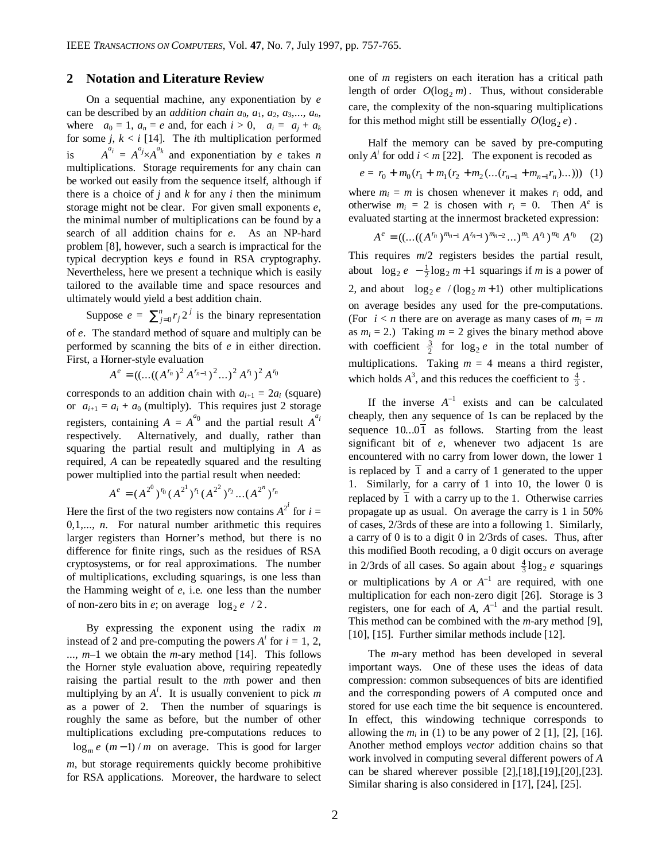### **2 Notation and Literature Review**

On a sequential machine, any exponentiation by *e* can be described by an *addition chain*  $a_0$ ,  $a_1$ ,  $a_2$ ,  $a_3$ ,...,  $a_n$ , where  $a_0 = 1$ ,  $a_n = e$  and, for each  $i > 0$ ,  $a_i = a_j + a_k$ for some  $j, k < i$  [14]. The *i*th multiplication performed is  $A^{a_i} = A^{a_j} \times A^{a_k}$  and exponentiation by *e* takes *n* multiplications. Storage requirements for any chain can be worked out easily from the sequence itself, although if there is a choice of  $j$  and  $k$  for any  $i$  then the minimum storage might not be clear. For given small exponents *e*, the minimal number of multiplications can be found by a search of all addition chains for *e*. As an NP-hard problem [8], however, such a search is impractical for the typical decryption keys *e* found in RSA cryptography. Nevertheless, here we present a technique which is easily tailored to the available time and space resources and ultimately would yield a best addition chain.

Suppose  $e = \sum_{j=0}^{n} r_j 2^j$  $\sum_{j=0}^{n} r_j 2^j$  is the binary representation of *e*. The standard method of square and multiply can be

performed by scanning the bits of *e* in either direction. First, a Horner-style evaluation

 $A^e = ((...((A^{r_n})^2 A^{r_{n-1}})^2 ...)^2 A^{r_1})^2 A^{r_0}$ 

corresponds to an addition chain with  $a_{i+1} = 2a_i$  (square) or  $a_{i+1} = a_i + a_0$  (multiply). This requires just 2 storage registers, containing  $A = A^{a_0}$  and the partial result  $A^{a_i}$ respectively. Alternatively, and dually, rather than squaring the partial result and multiplying in *A* as required, *A* can be repeatedly squared and the resulting power multiplied into the partial result when needed:

$$
A^{e} = (A^{2^{0}})^{r_{0}} (A^{2^{1}})^{r_{1}} (A^{2^{2}})^{r_{2}}...(A^{2^{n}})^{r_{n}}
$$

Here the first of the two registers now contains  $A^{2^i}$  for  $i =$ 0,1,..., *n*. For natural number arithmetic this requires larger registers than Horner's method, but there is no difference for finite rings, such as the residues of RSA cryptosystems, or for real approximations. The number of multiplications, excluding squarings, is one less than the Hamming weight of *e*, i.e. one less than the number of non-zero bits in *e*; on average  $\lfloor \log_2 e \rfloor / 2$ .

By expressing the exponent using the radix *m* instead of 2 and pre-computing the powers  $A^i$  for  $i = 1, 2,$ ..., *m*–1 we obtain the *m*-ary method [14]. This follows the Horner style evaluation above, requiring repeatedly raising the partial result to the *m*th power and then multiplying by an *A i* . It is usually convenient to pick *m* as a power of 2. Then the number of squarings is roughly the same as before, but the number of other multiplications excluding pre-computations reduces to  $\lfloor \log_m e \rfloor (m-1) / m$  on average. This is good for larger *m*, but storage requirements quickly become prohibitive for RSA applications. Moreover, the hardware to select

one of *m* registers on each iteration has a critical path length of order  $O(\log_2 m)$ . Thus, without considerable care, the complexity of the non-squaring multiplications for this method might still be essentially  $O(\log_2 e)$ .

Half the memory can be saved by pre-computing only  $A^i$  for odd  $i < m$  [22]. The exponent is recoded as

$$
e = r_0 + m_0(r_1 + m_1(r_2 + m_2(\dots(r_{n-1} + m_{n-1}r_n)\dots))) \tag{1}
$$

where  $m_i = m$  is chosen whenever it makes  $r_i$  odd, and otherwise  $m_i = 2$  is chosen with  $r_i = 0$ . Then  $A^e$  is evaluated starting at the innermost bracketed expression:

$$
A^{e} = ((...(A^{r_{n}})^{m_{n-1}} A^{r_{n-1}})^{m_{n-2}} ... )^{m_{1}} A^{r_{1}})^{m_{0}} A^{r_{0}} \t (2)
$$

This requires *m*/2 registers besides the partial result, about  $\lfloor \log_2 e \rfloor - \frac{1}{2} \log_2 m + 1$  squarings if *m* is a power of 2, and about  $\lfloor \log_2 e \rfloor / (\log_2 m + 1)$  other multiplications on average besides any used for the pre-computations. (For  $i < n$  there are on average as many cases of  $m_i = m$ as  $m_i = 2$ .) Taking  $m = 2$  gives the binary method above with coefficient  $\frac{3}{2}$  for  $\log_2 e$  in the total number of multiplications. Taking  $m = 4$  means a third register, which holds  $A^3$ , and this reduces the coefficient to  $\frac{4}{3}$ .

If the inverse  $A^{-1}$  exists and can be calculated cheaply, then any sequence of 1s can be replaced by the sequence  $10...0\overline{1}$  as follows. Starting from the least significant bit of *e*, whenever two adjacent 1s are encountered with no carry from lower down, the lower 1 is replaced by  $\overline{1}$  and a carry of 1 generated to the upper 1. Similarly, for a carry of 1 into 10, the lower 0 is replaced by  $\overline{1}$  with a carry up to the 1. Otherwise carries propagate up as usual. On average the carry is 1 in 50% of cases, 2/3rds of these are into a following 1. Similarly, a carry of 0 is to a digit 0 in 2/3rds of cases. Thus, after this modified Booth recoding, a 0 digit occurs on average in 2/3rds of all cases. So again about  $\frac{4}{3}$ log<sub>2</sub> e squarings or multiplications by  $A$  or  $A^{-1}$  are required, with one multiplication for each non-zero digit [26]. Storage is 3 registers, one for each of  $A$ ,  $A^{-1}$  and the partial result. This method can be combined with the *m*-ary method [9], [10], [15]. Further similar methods include [12].

The *m*-ary method has been developed in several important ways. One of these uses the ideas of data compression: common subsequences of bits are identified and the corresponding powers of *A* computed once and stored for use each time the bit sequence is encountered. In effect, this windowing technique corresponds to allowing the  $m_i$  in (1) to be any power of 2 [1], [2], [16]. Another method employs *vector* addition chains so that work involved in computing several different powers of *A* can be shared wherever possible [2],[18],[19],[20],[23]. Similar sharing is also considered in [17], [24], [25].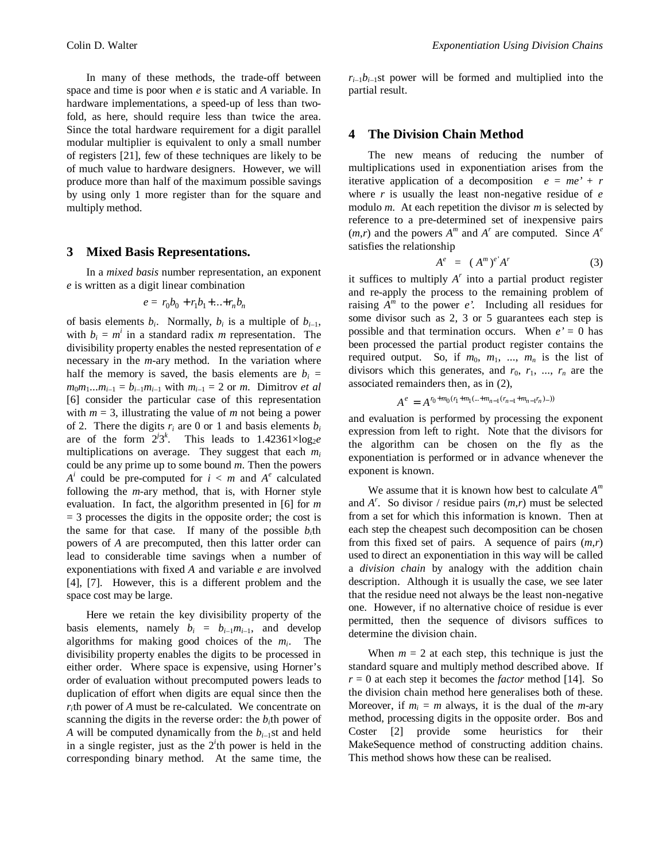In many of these methods, the trade-off between space and time is poor when *e* is static and *A* variable. In hardware implementations, a speed-up of less than twofold, as here, should require less than twice the area. Since the total hardware requirement for a digit parallel modular multiplier is equivalent to only a small number of registers [21], few of these techniques are likely to be of much value to hardware designers. However, we will produce more than half of the maximum possible savings by using only 1 more register than for the square and multiply method.

#### **3 Mixed Basis Representations.**

In a *mixed basis* number representation, an exponent *e* is written as a digit linear combination

$$
e = r_0 b_0 + r_1 b_1 + \dots + r_n b_n
$$

of basis elements  $b_i$ . Normally,  $b_i$  is a multiple of  $b_{i-1}$ , with  $b_i = m^i$  in a standard radix *m* representation. The divisibility property enables the nested representation of *e* necessary in the *m*-ary method. In the variation where half the memory is saved, the basis elements are  $b_i =$  $m_0 m_1 ... m_{i-1} = b_{i-1} m_{i-1}$  with  $m_{i-1} = 2$  or *m*. Dimitrov *et al* [6] consider the particular case of this representation with  $m = 3$ , illustrating the value of  $m$  not being a power of 2. There the digits  $r_i$  are 0 or 1 and basis elements  $b_i$ are of the form  $2^i 3^k$ . This leads to  $1.42361 \times \log_2 e$ multiplications on average. They suggest that each *m<sup>i</sup>* could be any prime up to some bound *m*. Then the powers  $A^i$  could be pre-computed for  $i < m$  and  $A^e$  calculated following the *m*-ary method, that is, with Horner style evaluation. In fact, the algorithm presented in [6] for *m*  $=$  3 processes the digits in the opposite order; the cost is the same for that case. If many of the possible  $b_i$ th powers of *A* are precomputed, then this latter order can lead to considerable time savings when a number of exponentiations with fixed *A* and variable *e* are involved [4], [7]. However, this is a different problem and the space cost may be large.

Here we retain the key divisibility property of the basis elements, namely  $b_i = b_{i-1}m_{i-1}$ , and develop algorithms for making good choices of the *m<sup>i</sup>* . The divisibility property enables the digits to be processed in either order. Where space is expensive, using Horner's order of evaluation without precomputed powers leads to duplication of effort when digits are equal since then the *ri* th power of *A* must be re-calculated. We concentrate on scanning the digits in the reverse order: the  $b_i$ <sup>th</sup> power of *A* will be computed dynamically from the  $b_{i-1}$ st and held in a single register, just as the  $2<sup>i</sup>$ th power is held in the corresponding binary method. At the same time, the  $r_{i-1}b_{i-1}$ st power will be formed and multiplied into the partial result.

### **4 The Division Chain Method**

The new means of reducing the number of multiplications used in exponentiation arises from the iterative application of a decomposition  $e = me' + r$ where *r* is usually the least non-negative residue of *e* modulo *m*. At each repetition the divisor *m* is selected by reference to a pre-determined set of inexpensive pairs  $(m,r)$  and the powers  $A^m$  and  $A^r$  are computed. Since  $A^e$ satisfies the relationship

$$
A^e = (A^m)^e A^r \tag{3}
$$

it suffices to multiply  $A<sup>r</sup>$  into a partial product register and re-apply the process to the remaining problem of raising  $A^m$  to the power  $e'$ . Including all residues for some divisor such as 2, 3 or 5 guarantees each step is possible and that termination occurs. When  $e' = 0$  has been processed the partial product register contains the required output. So, if  $m_0$ ,  $m_1$ , ...,  $m_n$  is the list of divisors which this generates, and  $r_0$ ,  $r_1$ , ...,  $r_n$  are the associated remainders then, as in (2),

$$
A^e = A^{r_0 + m_0(r_1 + m_1(\ldots + m_{n-1}(r_{n-1} + m_{n-1}r_n)\ldots))}
$$

and evaluation is performed by processing the exponent expression from left to right. Note that the divisors for the algorithm can be chosen on the fly as the exponentiation is performed or in advance whenever the exponent is known.

We assume that it is known how best to calculate *A m* and  $A^r$ . So divisor / residue pairs  $(m,r)$  must be selected from a set for which this information is known. Then at each step the cheapest such decomposition can be chosen from this fixed set of pairs. A sequence of pairs (*m*,*r*) used to direct an exponentiation in this way will be called a *division chain* by analogy with the addition chain description. Although it is usually the case, we see later that the residue need not always be the least non-negative one. However, if no alternative choice of residue is ever permitted, then the sequence of divisors suffices to determine the division chain.

When  $m = 2$  at each step, this technique is just the standard square and multiply method described above. If  $r = 0$  at each step it becomes the *factor* method [14]. So the division chain method here generalises both of these. Moreover, if  $m_i = m$  always, it is the dual of the *m*-ary method, processing digits in the opposite order. Bos and Coster [2] provide some heuristics for their MakeSequence method of constructing addition chains. This method shows how these can be realised.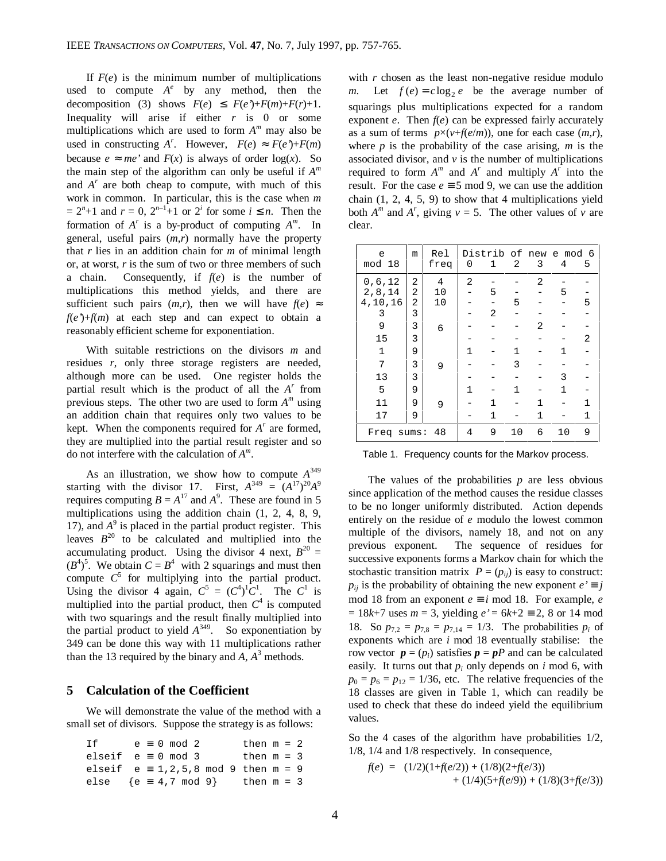If  $F(e)$  is the minimum number of multiplications used to compute  $A^e$  by any method, then the decomposition (3) shows  $F(e) \leq F(e^x) + F(m) + F(r) + 1$ . Inequality will arise if either *r* is 0 or some multiplications which are used to form *A m* may also be used in constructing  $A^r$ . However,  $F(e) \approx F(e^r) + F(m)$ because  $e \approx me'$  and  $F(x)$  is always of order  $log(x)$ . So the main step of the algorithm can only be useful if *A m* and  $A^r$  are both cheap to compute, with much of this work in common. In particular, this is the case when *m*  $= 2<sup>n</sup>+1$  and  $r = 0$ ,  $2<sup>n-1</sup>+1$  or  $2<sup>i</sup>$  for some  $i \leq n$ . Then the formation of  $A^r$  is a by-product of computing  $A^m$ . In general, useful pairs (*m*,*r*) normally have the property that *r* lies in an addition chain for *m* of minimal length or, at worst, *r* is the sum of two or three members of such a chain. Consequently, if *f*(*e*) is the number of multiplications this method yields, and there are sufficient such pairs  $(m,r)$ , then we will have  $f(e) \approx$  $f(e') + f(m)$  at each step and can expect to obtain a reasonably efficient scheme for exponentiation.

With suitable restrictions on the divisors *m* and residues *r*, only three storage registers are needed, although more can be used. One register holds the partial result which is the product of all the *A'* from previous steps. The other two are used to form *A m* using an addition chain that requires only two values to be kept. When the components required for  $A<sup>r</sup>$  are formed, they are multiplied into the partial result register and so do not interfere with the calculation of *A m* .

As an illustration, we show how to compute *A*<sup>349</sup> starting with the divisor 17. First,  $A^{349} = (A^{17})^{20}A^9$ requires computing  $B = A^{17}$  and  $A^9$ . These are found in 5 multiplications using the addition chain (1, 2, 4, 8, 9, 17), and  $A^9$  is placed in the partial product register. This leaves  $B^{20}$  to be calculated and multiplied into the accumulating product. Using the divisor 4 next,  $B^{20}$  =  $(B^4)^5$ . We obtain  $C = B^4$  with 2 squarings and must then compute  $C^5$  for multiplying into the partial product. Using the divisor 4 again,  $C^5 = (C^4)^1 C^1$ . The  $C^1$  is multiplied into the partial product, then  $C<sup>4</sup>$  is computed with two squarings and the result finally multiplied into the partial product to yield  $A^{349}$ . So exponentiation by 349 can be done this way with 11 multiplications rather than the 13 required by the binary and  $A$ ,  $A<sup>3</sup>$  methods.

### **5 Calculation of the Coefficient**

We will demonstrate the value of the method with a small set of divisors. Suppose the strategy is as follows:

| T f                                              |  | $e \equiv 0 \mod 2$ |  | then $m = 2$ |  |  |
|--------------------------------------------------|--|---------------------|--|--------------|--|--|
| elseif $e \equiv 0 \mod 3$                       |  |                     |  | then $m = 3$ |  |  |
| elseif $e \equiv 1, 2, 5, 8 \mod 9$ then $m = 9$ |  |                     |  |              |  |  |
| else ${e \equiv 4,7 \mod 9}$ then $m = 3$        |  |                     |  |              |  |  |

with *r* chosen as the least non-negative residue modulo *m*. Let  $f(e) = c \log_2 e$  be the average number of squarings plus multiplications expected for a random exponent  $e$ . Then  $f(e)$  can be expressed fairly accurately as a sum of terms  $p \times (v + f(e/m))$ , one for each case  $(m,r)$ , where *p* is the probability of the case arising, *m* is the associated divisor, and  $\nu$  is the number of multiplications required to form  $A^m$  and  $A^r$  and multiply  $A^r$  into the result. For the case  $e \equiv 5 \mod 9$ , we can use the addition chain  $(1, 2, 4, 5, 9)$  to show that 4 multiplications yield both  $A^m$  and  $A^r$ , giving  $v = 5$ . The other values of *v* are clear.

| e<br>mod 18  | m | Rel<br>freq | 0 | Distrib of new e mod 6<br>1 | 2  | 3 | 4  | 5 |
|--------------|---|-------------|---|-----------------------------|----|---|----|---|
| 0, 6, 12     | 2 | 4           | 2 |                             |    | 2 |    |   |
| 2,8,14       | 2 | 10          |   | 5                           |    |   | 5  |   |
| 4,10,16      | 2 | 10          |   |                             | 5  |   |    | 5 |
| 3            | 3 |             |   | 2                           |    |   |    |   |
| 9            | 3 | ነ6}         |   |                             |    | 2 |    |   |
| 15           | 3 |             |   |                             |    |   |    | 2 |
| $\mathbf{1}$ | 9 |             | 1 |                             | 1  |   | 1  |   |
| 7            | 3 | ን9ና         |   |                             | 3  |   |    |   |
| 13           | 3 |             |   |                             |    |   | 3  |   |
| 5            | 9 |             | 1 |                             | 1  |   | 1  |   |
| 11           | 9 | ኦ9⊀         |   | 1                           |    | 1 |    | 1 |
| 17           | 9 |             |   | 1                           |    | 1 |    | 1 |
| Freq sums:   |   | -48         | 4 | 9                           | 10 | 6 | 10 | 9 |

|  | Table 1. Frequency counts for the Markov process. |  |  |  |  |
|--|---------------------------------------------------|--|--|--|--|
|--|---------------------------------------------------|--|--|--|--|

The values of the probabilities *p* are less obvious since application of the method causes the residue classes to be no longer uniformly distributed. Action depends entirely on the residue of *e* modulo the lowest common multiple of the divisors, namely 18, and not on any previous exponent. The sequence of residues for successive exponents forms a Markov chain for which the stochastic transition matrix  $P = (p_{ij})$  is easy to construct:  $p_{ij}$  is the probability of obtaining the new exponent  $e' \equiv j$ mod 18 from an exponent  $e \equiv i$  mod 18. For example, *e* = 18*k*+7 uses *m* = 3, yielding *e'* = 6*k*+2 ≡ 2, 8 or 14 mod 18. So  $p_{7,2} = p_{7,8} = p_{7,14} = 1/3$ . The probabilities  $p_i$  of exponents which are *i* mod 18 eventually stabilise: the row vector  $p = (p_i)$  satisfies  $p = pP$  and can be calculated easily. It turns out that  $p_i$  only depends on  $i$  mod 6, with  $p_0 = p_6 = p_{12} = 1/36$ , etc. The relative frequencies of the 18 classes are given in Table 1, which can readily be used to check that these do indeed yield the equilibrium values.

So the 4 cases of the algorithm have probabilities  $1/2$ , 1/8, 1/4 and 1/8 respectively. In consequence,

$$
f(e) = (1/2)(1+f(e/2)) + (1/8)(2+f(e/3)) + (1/4)(5+f(e/9)) + (1/8)(3+f(e/3))
$$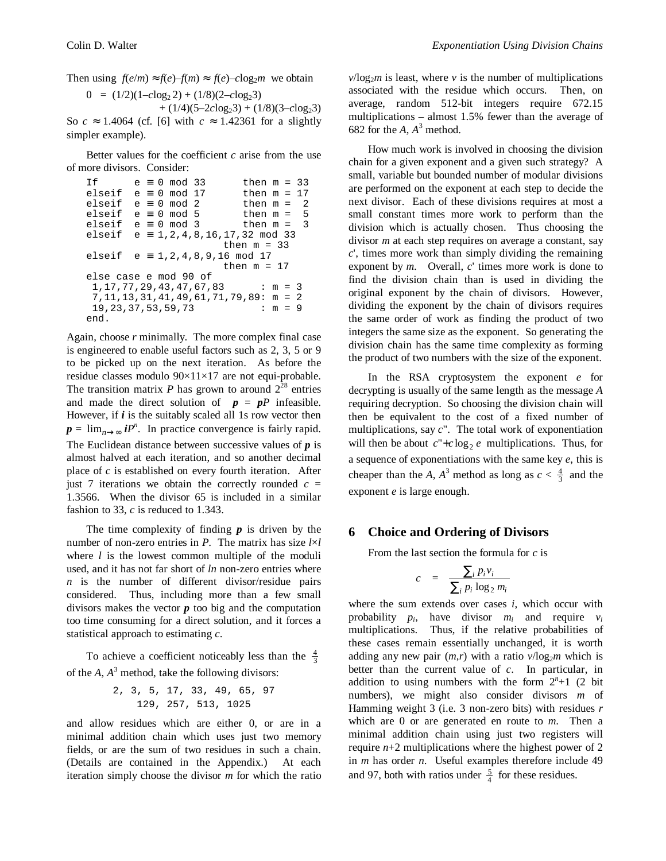Then using  $f(e/m) \approx f(e) - f(m) \approx f(e) - c \log_2 m$  we obtain

$$
0 = (1/2)(1 - c \log_2 2) + (1/8)(2 - c \log_2 3)
$$

 $+ (1/4)(5-2clog_2 3) + (1/8)(3-clog_2 3)$ So  $c \approx 1.4064$  (cf. [6] with  $c \approx 1.42361$  for a slightly simpler example).

Better values for the coefficient *c* arise from the use of more divisors. Consider:

```
If e \equiv 0 \mod 33 then m = 33<br>elseif e \equiv 0 \mod 17 then m = 17elseif e \equiv 0 mod 17
elseif e \equiv 0 \mod 2 then m = 2elseif e \equiv 0 \mod 5 then m = 5<br>elseif e \equiv 0 \mod 3 then m = 3elseif e \equiv 0 \mod 3 then m = 3<br>elseif e \equiv 1, 2, 4, 8, 16, 17, 32 \mod 33e \equiv 1, 2, 4, 8, 16, 17, 32 \text{ mod } 33then m = 33elseif e ≡ 1,2,4,8,9,16 mod 17
                              then m = 17else case e mod 90 of
 1,17,77,29,43,47,67,83 : m = 3
  7,11,13,31,41,49,61,71,79,89: m = 2
  19,23,37,53,59,73 : m = 9
end.
```
Again, choose *r* minimally. The more complex final case is engineered to enable useful factors such as 2, 3, 5 or 9 to be picked up on the next iteration. As before the residue classes modulo 90×11×17 are not equi-probable. The transition matrix  $P$  has grown to around  $2^{28}$  entries and made the direct solution of  $p = pP$  infeasible. However, if *i* is the suitably scaled all 1s row vector then  $p = \lim_{n \to \infty} iP^n$ . In practice convergence is fairly rapid. The Euclidean distance between successive values of *p* is almost halved at each iteration, and so another decimal place of *c* is established on every fourth iteration. After just 7 iterations we obtain the correctly rounded  $c =$ 1.3566. When the divisor 65 is included in a similar fashion to 33, *c* is reduced to 1.343.

The time complexity of finding *p* is driven by the number of non-zero entries in *P*. The matrix has size *l*×*l* where *l* is the lowest common multiple of the moduli used, and it has not far short of *ln* non-zero entries where *n* is the number of different divisor/residue pairs considered. Thus, including more than a few small divisors makes the vector *p* too big and the computation too time consuming for a direct solution, and it forces a statistical approach to estimating *c*.

To achieve a coefficient noticeably less than the  $\frac{4}{3}$ of the  $A$ ,  $A^3$  method, take the following divisors:

2, 3, 5, 17, 33, 49, 65, 97 129, 257, 513, 1025

and allow residues which are either 0, or are in a minimal addition chain which uses just two memory fields, or are the sum of two residues in such a chain. (Details are contained in the Appendix.) At each iteration simply choose the divisor *m* for which the ratio  $v/\log_2 m$  is least, where *v* is the number of multiplications associated with the residue which occurs. Then, on average, random 512-bit integers require 672.15 multiplications – almost 1.5% fewer than the average of 682 for the  $A$ ,  $A^3$  method.

How much work is involved in choosing the division chain for a given exponent and a given such strategy? A small, variable but bounded number of modular divisions are performed on the exponent at each step to decide the next divisor. Each of these divisions requires at most a small constant times more work to perform than the division which is actually chosen. Thus choosing the divisor *m* at each step requires on average a constant, say *c*', times more work than simply dividing the remaining exponent by *m*. Overall, *c*' times more work is done to find the division chain than is used in dividing the original exponent by the chain of divisors. However, dividing the exponent by the chain of divisors requires the same order of work as finding the product of two integers the same size as the exponent. So generating the division chain has the same time complexity as forming the product of two numbers with the size of the exponent.

In the RSA cryptosystem the exponent *e* for decrypting is usually of the same length as the message *A* requiring decryption. So choosing the division chain will then be equivalent to the cost of a fixed number of multiplications, say *c*". The total work of exponentiation will then be about  $c'' + c \log_2 e$  multiplications. Thus, for a sequence of exponentiations with the same key *e*, this is cheaper than the *A*,  $A^3$  method as long as  $c < \frac{4}{3}$  and the exponent *e* is large enough.

### **6 Choice and Ordering of Divisors**

From the last section the formula for *c* is

$$
c = \frac{\sum_{i} p_{i} v_{i}}{\sum_{i} p_{i} \log_{2} m_{i}}
$$

where the sum extends over cases *i*, which occur with probability  $p_i$ , have divisor  $m_i$  and require  $v_i$ multiplications. Thus, if the relative probabilities of these cases remain essentially unchanged, it is worth adding any new pair  $(m,r)$  with a ratio  $v/\log_2 m$  which is better than the current value of *c*. In particular, in addition to using numbers with the form  $2^n+1$  (2 bit numbers), we might also consider divisors *m* of Hamming weight 3 (i.e. 3 non-zero bits) with residues *r* which are 0 or are generated en route to *m*. Then a minimal addition chain using just two registers will require *n*+2 multiplications where the highest power of 2 in *m* has order *n*. Useful examples therefore include 49 and 97, both with ratios under  $\frac{5}{4}$  for these residues.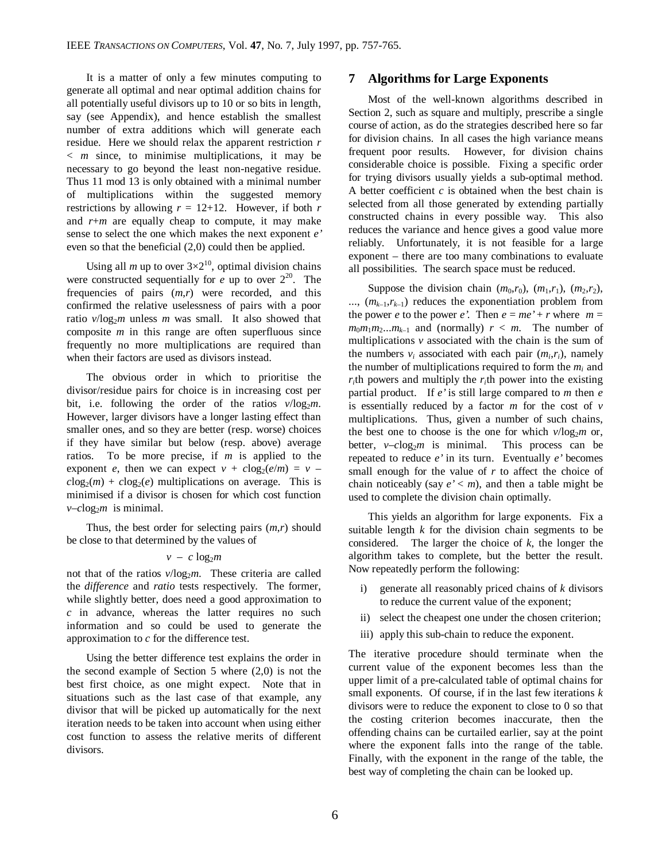It is a matter of only a few minutes computing to generate all optimal and near optimal addition chains for all potentially useful divisors up to 10 or so bits in length, say (see Appendix), and hence establish the smallest number of extra additions which will generate each residue. Here we should relax the apparent restriction *r* < *m* since, to minimise multiplications, it may be necessary to go beyond the least non-negative residue. Thus 11 mod 13 is only obtained with a minimal number of multiplications within the suggested memory restrictions by allowing  $r = 12+12$ . However, if both  $r = 12+12$ . and *r*+*m* are equally cheap to compute, it may make sense to select the one which makes the next exponent *e'* even so that the beneficial (2,0) could then be applied.

Using all *m* up to over  $3\times2^{10}$ , optimal division chains were constructed sequentially for  $e$  up to over  $2^{20}$ . The frequencies of pairs (*m*,*r*) were recorded, and this confirmed the relative uselessness of pairs with a poor ratio  $v/\log_2 m$  unless *m* was small. It also showed that composite *m* in this range are often superfluous since frequently no more multiplications are required than when their factors are used as divisors instead.

The obvious order in which to prioritise the divisor/residue pairs for choice is in increasing cost per bit, i.e. following the order of the ratios  $v/\log_2 m$ . However, larger divisors have a longer lasting effect than smaller ones, and so they are better (resp. worse) choices if they have similar but below (resp. above) average ratios. To be more precise, if *m* is applied to the exponent *e*, then we can expect  $v + c \log_2(e/m) = v - c$  $c\log_2(m) + c\log_2(e)$  multiplications on average. This is minimised if a divisor is chosen for which cost function  $v$ –*c*log<sub>2</sub>*m* is minimal.

Thus, the best order for selecting pairs (*m*,*r*) should be close to that determined by the values of

### $v - c \log_2 m$

not that of the ratios  $v/log_2m$ . These criteria are called the *difference* and *ratio* tests respectively. The former, while slightly better, does need a good approximation to *c* in advance, whereas the latter requires no such information and so could be used to generate the approximation to *c* for the difference test.

 Using the better difference test explains the order in the second example of Section  $5$  where  $(2,0)$  is not the best first choice, as one might expect. Note that in situations such as the last case of that example, any divisor that will be picked up automatically for the next iteration needs to be taken into account when using either cost function to assess the relative merits of different divisors.

### **7 Algorithms for Large Exponents**

Most of the well-known algorithms described in Section 2, such as square and multiply, prescribe a single course of action, as do the strategies described here so far for division chains. In all cases the high variance means frequent poor results. However, for division chains considerable choice is possible. Fixing a specific order for trying divisors usually yields a sub-optimal method. A better coefficient  $c$  is obtained when the best chain is selected from all those generated by extending partially constructed chains in every possible way. This also reduces the variance and hence gives a good value more reliably. Unfortunately, it is not feasible for a large exponent – there are too many combinations to evaluate all possibilities. The search space must be reduced.

Suppose the division chain  $(m_0,r_0)$ ,  $(m_1,r_1)$ ,  $(m_2,r_2)$ ,  $..., (m_{k-1}, r_{k-1})$  reduces the exponentiation problem from the power *e* to the power *e*'. Then  $e = me' + r$  where  $m =$  $m_0m_1m_2...m_{k-1}$  and (normally)  $r < m$ . The number of multiplications *v* associated with the chain is the sum of the numbers  $v_i$  associated with each pair  $(m_i, r_i)$ , namely the number of multiplications required to form the  $m_i$  and  $r_i$ th powers and multiply the  $r_i$ <sup>th</sup> power into the existing partial product. If *e'* is still large compared to *m* then *e* is essentially reduced by a factor *m* for the cost of *v* multiplications. Thus, given a number of such chains, the best one to choose is the one for which  $v/\log_2 m$  or, better,  $v$ – $c \log_2 m$  is minimal. This process can be repeated to reduce *e'* in its turn. Eventually *e'* becomes small enough for the value of *r* to affect the choice of chain noticeably (say  $e' < m$ ), and then a table might be used to complete the division chain optimally.

This yields an algorithm for large exponents. Fix a suitable length *k* for the division chain segments to be considered. The larger the choice of *k*, the longer the algorithm takes to complete, but the better the result. Now repeatedly perform the following:

- i) generate all reasonably priced chains of *k* divisors to reduce the current value of the exponent;
- ii) select the cheapest one under the chosen criterion;
- iii) apply this sub-chain to reduce the exponent.

The iterative procedure should terminate when the current value of the exponent becomes less than the upper limit of a pre-calculated table of optimal chains for small exponents. Of course, if in the last few iterations *k* divisors were to reduce the exponent to close to 0 so that the costing criterion becomes inaccurate, then the offending chains can be curtailed earlier, say at the point where the exponent falls into the range of the table. Finally, with the exponent in the range of the table, the best way of completing the chain can be looked up.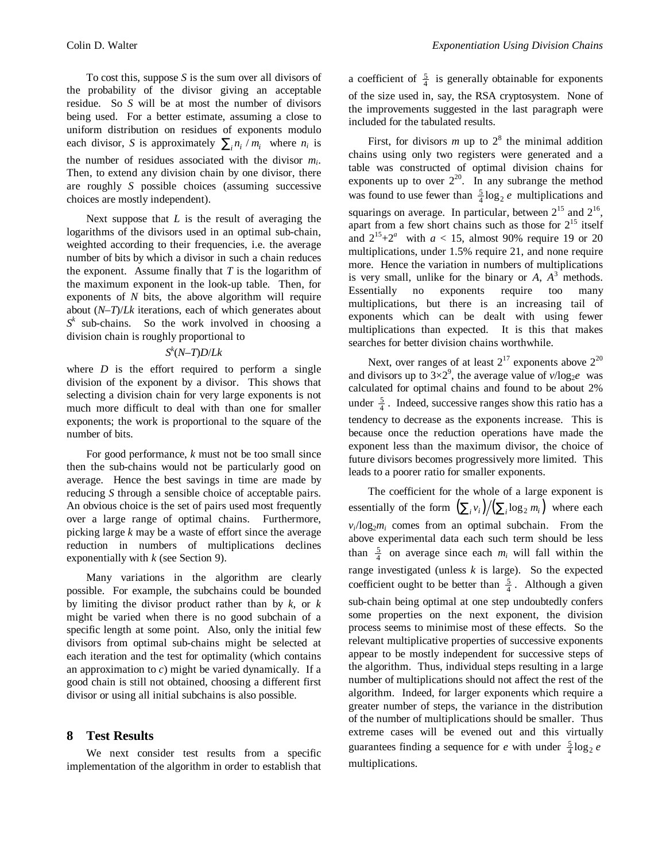To cost this, suppose *S* is the sum over all divisors of the probability of the divisor giving an acceptable residue. So *S* will be at most the number of divisors being used. For a better estimate, assuming a close to uniform distribution on residues of exponents modulo each divisor, *S* is approximately  $\sum_{i} n_i / m_i$  where  $n_i$  is the number of residues associated with the divisor *m<sup>i</sup>* . Then, to extend any division chain by one divisor, there are roughly *S* possible choices (assuming successive choices are mostly independent).

Next suppose that *L* is the result of averaging the logarithms of the divisors used in an optimal sub-chain, weighted according to their frequencies, i.e. the average number of bits by which a divisor in such a chain reduces the exponent. Assume finally that *T* is the logarithm of the maximum exponent in the look-up table. Then, for exponents of *N* bits, the above algorithm will require about (*N*–*T*)/*Lk* iterations, each of which generates about  $S^k$  sub-chains. So the work involved in choosing a division chain is roughly proportional to

### *S k* (*N*–*T*)*D*/*Lk*

where  $D$  is the effort required to perform a single division of the exponent by a divisor. This shows that selecting a division chain for very large exponents is not much more difficult to deal with than one for smaller exponents; the work is proportional to the square of the number of bits.

For good performance, *k* must not be too small since then the sub-chains would not be particularly good on average. Hence the best savings in time are made by reducing *S* through a sensible choice of acceptable pairs. An obvious choice is the set of pairs used most frequently over a large range of optimal chains. Furthermore, picking large *k* may be a waste of effort since the average reduction in numbers of multiplications declines exponentially with *k* (see Section 9).

Many variations in the algorithm are clearly possible. For example, the subchains could be bounded by limiting the divisor product rather than by *k*, or *k* might be varied when there is no good subchain of a specific length at some point. Also, only the initial few divisors from optimal sub-chains might be selected at each iteration and the test for optimality (which contains an approximation to *c*) might be varied dynamically. If a good chain is still not obtained, choosing a different first divisor or using all initial subchains is also possible.

### **8 Test Results**

We next consider test results from a specific implementation of the algorithm in order to establish that

a coefficient of  $\frac{5}{4}$  is generally obtainable for exponents of the size used in, say, the RSA cryptosystem. None of the improvements suggested in the last paragraph were included for the tabulated results.

First, for divisors  $m$  up to  $2<sup>8</sup>$  the minimal addition chains using only two registers were generated and a table was constructed of optimal division chains for exponents up to over  $2^{20}$ . In any subrange the method was found to use fewer than  $\frac{5}{4} \log_2 e$  multiplications and squarings on average. In particular, between  $2^{15}$  and  $2^{16}$ , apart from a few short chains such as those for  $2^{15}$  itself and  $2^{15}+2^a$  with  $a < 15$ , almost 90% require 19 or 20 multiplications, under 1.5% require 21, and none require more. Hence the variation in numbers of multiplications is very small, unlike for the binary or  $A$ ,  $A<sup>3</sup>$  methods. Essentially no exponents require too many multiplications, but there is an increasing tail of exponents which can be dealt with using fewer multiplications than expected. It is this that makes searches for better division chains worthwhile.

Next, over ranges of at least  $2^{17}$  exponents above  $2^{20}$ and divisors up to  $3\times2^9$ , the average value of  $\nu/\log_2 e$  was calculated for optimal chains and found to be about 2% under  $\frac{5}{4}$ . Indeed, successive ranges show this ratio has a tendency to decrease as the exponents increase. This is because once the reduction operations have made the exponent less than the maximum divisor, the choice of future divisors becomes progressively more limited. This leads to a poorer ratio for smaller exponents.

The coefficient for the whole of a large exponent is essentially of the form  $(\sum_i v_i)/(\sum_i \log_2 m_i)$  where each  $v_i$ / $\log_2 m_i$  comes from an optimal subchain. From the above experimental data each such term should be less than  $\frac{5}{4}$  on average since each  $m_i$  will fall within the range investigated (unless *k* is large). So the expected coefficient ought to be better than  $\frac{5}{4}$ . Although a given sub-chain being optimal at one step undoubtedly confers some properties on the next exponent, the division process seems to minimise most of these effects. So the relevant multiplicative properties of successive exponents appear to be mostly independent for successive steps of the algorithm. Thus, individual steps resulting in a large number of multiplications should not affect the rest of the algorithm. Indeed, for larger exponents which require a greater number of steps, the variance in the distribution of the number of multiplications should be smaller. Thus extreme cases will be evened out and this virtually guarantees finding a sequence for *e* with under  $\frac{5}{4} \log_2 e$ multiplications.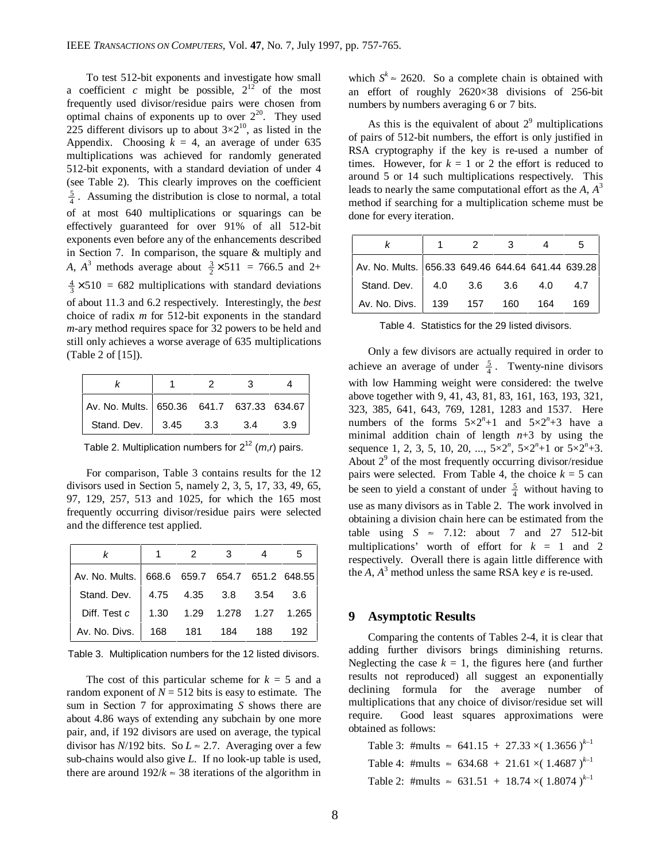To test 512-bit exponents and investigate how small a coefficient *c* might be possible,  $2^{12}$  of the most frequently used divisor/residue pairs were chosen from optimal chains of exponents up to over  $2^{20}$ . They used 225 different divisors up to about  $3\times2^{10}$ , as listed in the Appendix. Choosing  $k = 4$ , an average of under 635 multiplications was achieved for randomly generated 512-bit exponents, with a standard deviation of under 4 (see Table 2). This clearly improves on the coefficient  $\frac{5}{4}$ . Assuming the distribution is close to normal, a total of at most 640 multiplications or squarings can be effectively guaranteed for over 91% of all 512-bit exponents even before any of the enhancements described in Section 7. In comparison, the square & multiply and *A*,  $A^3$  methods average about  $\frac{3}{2} \times 511 = 766.5$  and 2+  $\frac{4}{3} \times 510 = 682$  multiplications with standard deviations of about 11.3 and 6.2 respectively. Interestingly, the *best* choice of radix *m* for 512-bit exponents in the standard *m*-ary method requires space for 32 powers to be held and still only achieves a worse average of 635 multiplications (Table 2 of [15]).

|                                           |      |       | З   |     |
|-------------------------------------------|------|-------|-----|-----|
| Av. No. Mults. 650.36 641.7 637.33 634.67 |      |       |     |     |
| Stand. Dev.                               | 3.45 | - 3.3 | 3.4 | 3.9 |

Table 2. Multiplication numbers for  $2^{12}$  (*m,r*) pairs.

For comparison, Table 3 contains results for the 12 divisors used in Section 5, namely 2, 3, 5, 17, 33, 49, 65, 97, 129, 257, 513 and 1025, for which the 165 most frequently occurring divisor/residue pairs were selected and the difference test applied.

|                                                 | 2 | $\overline{\mathbf{3}}$ |  |
|-------------------------------------------------|---|-------------------------|--|
| Av. No. Mults.   668.6 659.7 654.7 651.2 648.55 |   |                         |  |
| Stand. Dev. 4.75 4.35 3.8 3.54 3.6              |   |                         |  |
| Diff. Test c   1.30  1.29  1.278  1.27  1.265   |   |                         |  |
| Av. No. Divs.   168  181  184  188  192         |   |                         |  |

Table 3. Multiplication numbers for the 12 listed divisors.

The cost of this particular scheme for  $k = 5$  and a random exponent of  $N = 512$  bits is easy to estimate. The sum in Section 7 for approximating *S* shows there are about 4.86 ways of extending any subchain by one more pair, and, if 192 divisors are used on average, the typical divisor has  $N/192$  bits. So  $L \approx 2.7$ . Averaging over a few sub-chains would also give *L*. If no look-up table is used, there are around  $192/k \approx 38$  iterations of the algorithm in

which  $S^k \approx 2620$ . So a complete chain is obtained with an effort of roughly 2620×38 divisions of 256-bit numbers by numbers averaging 6 or 7 bits.

As this is the equivalent of about  $2<sup>9</sup>$  multiplications of pairs of 512-bit numbers, the effort is only justified in RSA cryptography if the key is re-used a number of times. However, for  $k = 1$  or 2 the effort is reduced to around 5 or 14 such multiplications respectively. This leads to nearly the same computational effort as the *A*, *A* 3 method if searching for a multiplication scheme must be done for every iteration.

|                                                   | 2   |     |       |      |
|---------------------------------------------------|-----|-----|-------|------|
| Av. No. Mults. 656.33 649.46 644.64 641.44 639.28 |     |     |       |      |
| Stand. Dev. 4.0 3.6 3.6                           |     |     | - 4.0 | -4.7 |
| Av. No. Divs.   139                               | 157 | 160 | 164   | 169  |

Table 4. Statistics for the 29 listed divisors.

Only a few divisors are actually required in order to achieve an average of under  $\frac{5}{4}$ . Twenty-nine divisors with low Hamming weight were considered: the twelve above together with 9, 41, 43, 81, 83, 161, 163, 193, 321, 323, 385, 641, 643, 769, 1281, 1283 and 1537. Here numbers of the forms  $5 \times 2^n + 1$  and  $5 \times 2^n + 3$  have a minimal addition chain of length  $n+3$  by using the sequence 1, 2, 3, 5, 10, 20, ...,  $5 \times 2^n$ ,  $5 \times 2^n + 1$  or  $5 \times 2^n + 3$ . About  $2<sup>9</sup>$  of the most frequently occurring divisor/residue pairs were selected. From Table 4, the choice  $k = 5$  can be seen to yield a constant of under  $\frac{5}{4}$  without having to use as many divisors as in Table 2. The work involved in obtaining a division chain here can be estimated from the table using  $S \approx 7.12$ : about 7 and 27 512-bit multiplications' worth of effort for  $k = 1$  and 2 respectively. Overall there is again little difference with the  $A$ ,  $A^3$  method unless the same RSA key  $e$  is re-used.

### **9 Asymptotic Results**

Comparing the contents of Tables 2-4, it is clear that adding further divisors brings diminishing returns. Neglecting the case  $k = 1$ , the figures here (and further results not reproduced) all suggest an exponentially declining formula for the average number of multiplications that any choice of divisor/residue set will require. Good least squares approximations were obtained as follows:

Table 3: #mults  $\approx$  641.15 + 27.33  $\times$ (1.3656)<sup>k-1</sup> Table 4: #mults  $\approx 634.68 + 21.61 \times (1.4687)^{k-1}$ Table 2: #mults  $\approx 631.51 + 18.74 \times (1.8074)^{k-1}$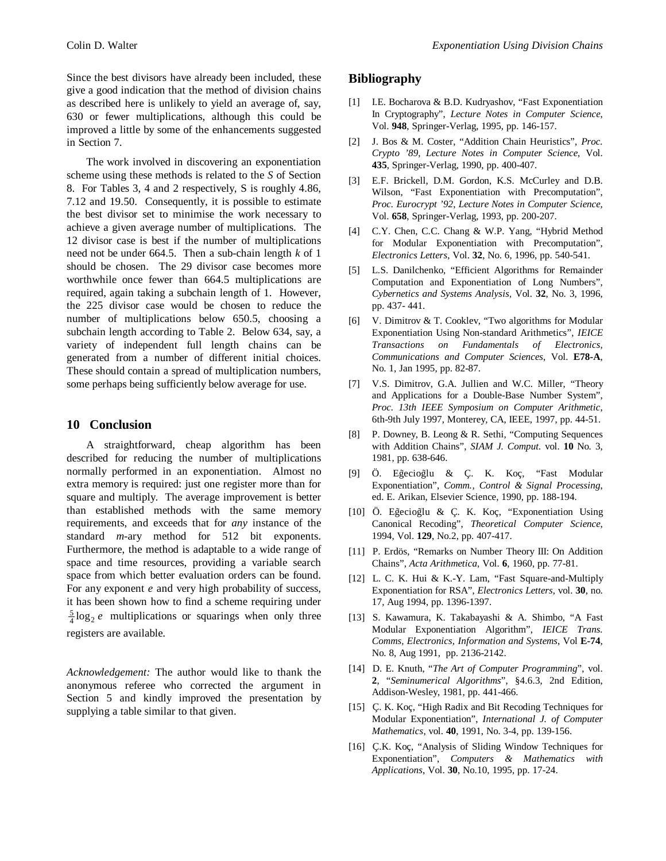Since the best divisors have already been included, these give a good indication that the method of division chains as described here is unlikely to yield an average of, say, 630 or fewer multiplications, although this could be improved a little by some of the enhancements suggested in Section 7.

The work involved in discovering an exponentiation scheme using these methods is related to the *S* of Section 8. For Tables 3, 4 and 2 respectively, S is roughly 4.86, 7.12 and 19.50. Consequently, it is possible to estimate the best divisor set to minimise the work necessary to achieve a given average number of multiplications. The 12 divisor case is best if the number of multiplications need not be under 664.5. Then a sub-chain length *k* of 1 should be chosen. The 29 divisor case becomes more worthwhile once fewer than 664.5 multiplications are required, again taking a subchain length of 1. However, the 225 divisor case would be chosen to reduce the number of multiplications below 650.5, choosing a subchain length according to Table 2. Below 634, say, a variety of independent full length chains can be generated from a number of different initial choices. These should contain a spread of multiplication numbers, some perhaps being sufficiently below average for use.

### **10 Conclusion**

A straightforward, cheap algorithm has been described for reducing the number of multiplications normally performed in an exponentiation. Almost no extra memory is required: just one register more than for square and multiply. The average improvement is better than established methods with the same memory requirements, and exceeds that for *any* instance of the standard *m*-ary method for 512 bit exponents. Furthermore, the method is adaptable to a wide range of space and time resources, providing a variable search space from which better evaluation orders can be found. For any exponent *e* and very high probability of success, it has been shown how to find a scheme requiring under  $\frac{5}{4}$ log<sub>2</sub> *e* multiplications or squarings when only three registers are available.

*Acknowledgement:* The author would like to thank the anonymous referee who corrected the argument in Section 5 and kindly improved the presentation by supplying a table similar to that given.

## **Bibliography**

- [1] I.E. Bocharova & B.D. Kudryashov, "Fast Exponentiation In Cryptography", *Lecture Notes in Computer Science*, Vol. **948**, Springer-Verlag, 1995, pp. 146-157.
- [2] J. Bos & M. Coster, "Addition Chain Heuristics", *Proc. Crypto '89*, *Lecture Notes in Computer Science*, Vol. **435**, Springer-Verlag, 1990, pp. 400-407.
- E.F. Brickell, D.M. Gordon, K.S. McCurley and D.B. Wilson, "Fast Exponentiation with Precomputation", *Proc. Eurocrypt '92*, *Lecture Notes in Computer Science*, Vol. **658**, Springer-Verlag, 1993, pp. 200-207.
- [4] C.Y. Chen, C.C. Chang & W.P. Yang, "Hybrid Method for Modular Exponentiation with Precomputation", *Electronics Letters*, Vol. **32**, No. 6, 1996, pp. 540-541.
- [5] L.S. Danilchenko, "Efficient Algorithms for Remainder Computation and Exponentiation of Long Numbers", *Cybernetics and Systems Analysis*, Vol. **32**, No. 3, 1996, pp. 437- 441.
- [6] V. Dimitrov & T. Cooklev, "Two algorithms for Modular Exponentiation Using Non-standard Arithmetics", *IEICE Transactions on Fundamentals of Electronics, Communications and Computer Sciences*, Vol. **E78-A**, No. 1, Jan 1995, pp. 82-87.
- [7] V.S. Dimitrov, G.A. Jullien and W.C. Miller, "Theory and Applications for a Double-Base Number System", *Proc. 13th IEEE Symposium on Computer Arithmetic*, 6th-9th July 1997, Monterey, CA, IEEE, 1997, pp. 44-51.
- [8] P. Downey, B. Leong & R. Sethi, "Computing Sequences with Addition Chains", *SIAM J. Comput.* vol. **10** No. 3, 1981, pp. 638-646.
- [9] Ö. Eğecioğlu & Ç. K. Koç, "Fast Modular Exponentiation", *Comm., Control & Signal Processing*, ed. E. Arikan, Elsevier Science, 1990, pp. 188-194.
- [10] Ö. Eğecioğlu & Ç. K. Koç, "Exponentiation Using Canonical Recoding", *Theoretical Computer Science*, 1994, Vol. **129**, No.2, pp. 407-417.
- [11] P. Erdös, "Remarks on Number Theory III: On Addition Chains", *Acta Arithmetica*, Vol. **6**, 1960, pp. 77-81.
- [12] L. C. K. Hui & K.-Y. Lam, "Fast Square-and-Multiply Exponentiation for RSA", *Electronics Letters*, vol. **30**, no. 17, Aug 1994, pp. 1396-1397.
- [13] S. Kawamura, K. Takabayashi & A. Shimbo, "A Fast Modular Exponentiation Algorithm", *IEICE Trans. Comms, Electronics, Information and Systems*, Vol **E-74**, No. 8, Aug 1991, pp. 2136-2142.
- [14] D. E. Knuth, "*The Art of Computer Programming*", vol. **2**, "*Seminumerical Algorithms*", §4.6.3, 2nd Edition, Addison-Wesley, 1981, pp. 441-466.
- [15] C. K. Koç, "High Radix and Bit Recoding Techniques for Modular Exponentiation", *International J. of Computer Mathematics*, vol. **40**, 1991, No. 3-4, pp. 139-156.
- [16] C.K. Koc, "Analysis of Sliding Window Techniques for Exponentiation", *Computers & Mathematics with Applications*, Vol. **30**, No.10, 1995, pp. 17-24.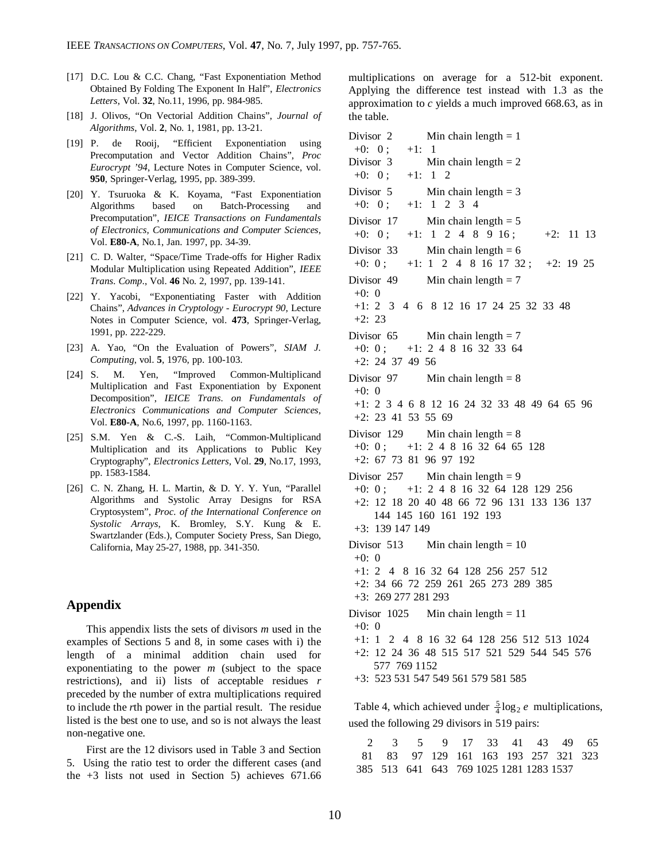- [17] D.C. Lou & C.C. Chang, "Fast Exponentiation Method Obtained By Folding The Exponent In Half", *Electronics Letters*, Vol. **32**, No.11, 1996, pp. 984-985.
- [18] J. Olivos, "On Vectorial Addition Chains", *Journal of Algorithms*, Vol. **2**, No. 1, 1981, pp. 13-21.
- [19] P. de Rooij, "Efficient Exponentiation using Precomputation and Vector Addition Chains", *Proc Eurocrypt '94*, Lecture Notes in Computer Science, vol. **950**, Springer-Verlag, 1995, pp. 389-399.
- [20] Y. Tsuruoka & K. Koyama, "Fast Exponentiation Algorithms based on Batch-Processing and Precomputation", *IEICE Transactions on Fundamentals of Electronics, Communications and Computer Sciences*, Vol. **E80-A**, No.1, Jan. 1997, pp. 34-39.
- [21] C. D. Walter, "Space/Time Trade-offs for Higher Radix Modular Multiplication using Repeated Addition", *IEEE Trans. Comp*., Vol. **46** No. 2, 1997, pp. 139-141.
- [22] Y. Yacobi, "Exponentiating Faster with Addition Chains", *Advances in Cryptology - Eurocrypt 90*, Lecture Notes in Computer Science, vol. **473**, Springer-Verlag, 1991, pp. 222-229.
- [23] A. Yao, "On the Evaluation of Powers", *SIAM J. Computing*, vol. **5**, 1976, pp. 100-103.
- [24] S. M. Yen, "Improved Common-Multiplicand Multiplication and Fast Exponentiation by Exponent Decomposition", *IEICE Trans. on Fundamentals of Electronics Communications and Computer Sciences*, Vol. **E80-A**, No.6, 1997, pp. 1160-1163.
- [25] S.M. Yen & C.-S. Laih, "Common-Multiplicand Multiplication and its Applications to Public Key Cryptography", *Electronics Letters*, Vol. **29**, No.17, 1993, pp. 1583-1584.
- [26] C. N. Zhang, H. L. Martin, & D. Y. Y. Yun, "Parallel Algorithms and Systolic Array Designs for RSA Cryptosystem", *Proc. of the International Conference on Systolic Arrays*, K. Bromley, S.Y. Kung & E. Swartzlander (Eds.), Computer Society Press, San Diego, California, May 25-27, 1988, pp. 341-350.

#### **Appendix**

This appendix lists the sets of divisors *m* used in the examples of Sections 5 and 8, in some cases with i) the length of a minimal addition chain used for exponentiating to the power *m* (subject to the space restrictions), and ii) lists of acceptable residues *r* preceded by the number of extra multiplications required to include the *r*th power in the partial result. The residue listed is the best one to use, and so is not always the least non-negative one.

First are the 12 divisors used in Table 3 and Section 5. Using the ratio test to order the different cases (and the  $+3$  lists not used in Section 5) achieves 671.66

multiplications on average for a 512-bit exponent. Applying the difference test instead with 1.3 as the approximation to *c* yields a much improved 668.63, as in the table.

Table 4, which achieved under  $\frac{5}{4} \log_2 e$  multiplications, used the following 29 divisors in 519 pairs:

|  |  |  |  | 2 3 5 9 17 33 41 43 49 65               |  |
|--|--|--|--|-----------------------------------------|--|
|  |  |  |  | 81 83 97 129 161 163 193 257 321 323    |  |
|  |  |  |  | 385 513 641 643 769 1025 1281 1283 1537 |  |